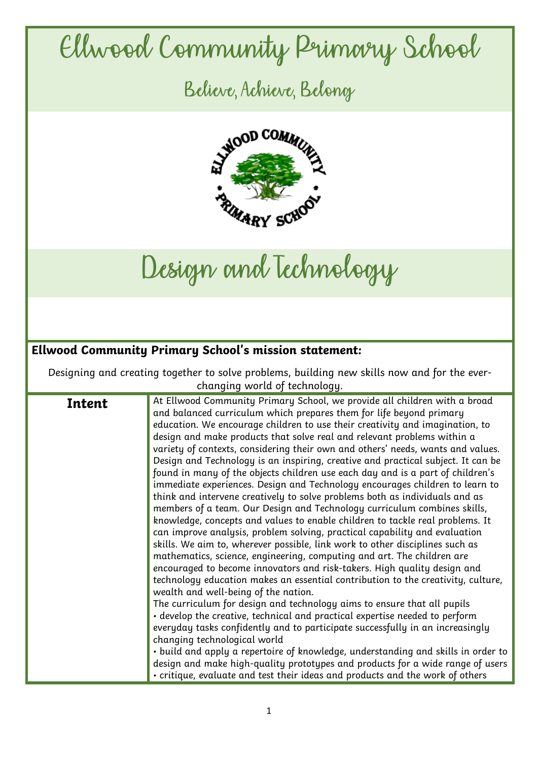## Ellwood Community Primary School

Believe, Achieve, Belong



Design and Technology

## **Ellwood Community Primary School's mission statement:**

Designing and creating together to solve problems, building new skills now and for the everchanging world of technology.

|        | At Ellwood Community Primary School, we provide all children with a broad         |
|--------|-----------------------------------------------------------------------------------|
| Intent |                                                                                   |
|        | and balanced curriculum which prepares them for life beyond primary               |
|        | education. We encourage children to use their creativity and imagination, to      |
|        | design and make products that solve real and relevant problems within a           |
|        | variety of contexts, considering their own and others' needs, wants and values.   |
|        | Design and Technology is an inspiring, creative and practical subject. It can be  |
|        | found in many of the objects children use each day and is a part of children's    |
|        | immediate experiences. Design and Technology encourages children to learn to      |
|        | think and intervene creatively to solve problems both as individuals and as       |
|        | members of a team. Our Design and Technology curriculum combines skills,          |
|        | knowledge, concepts and values to enable children to tackle real problems. It     |
|        | can improve analysis, problem solving, practical capability and evaluation        |
|        | skills. We aim to, wherever possible, link work to other disciplines such as      |
|        | mathematics, science, engineering, computing and art. The children are            |
|        | encouraged to become innovators and risk-takers. High quality design and          |
|        | technology education makes an essential contribution to the creativity, culture,  |
|        | wealth and well-being of the nation.                                              |
|        | The curriculum for design and technology aims to ensure that all pupils           |
|        | • develop the creative, technical and practical expertise needed to perform       |
|        | everyday tasks confidently and to participate successfully in an increasingly     |
|        | changing technological world                                                      |
|        | • build and apply a repertoire of knowledge, understanding and skills in order to |
|        | design and make high-quality prototypes and products for a wide range of users    |
|        | • critique, evaluate and test their ideas and products and the work of others     |